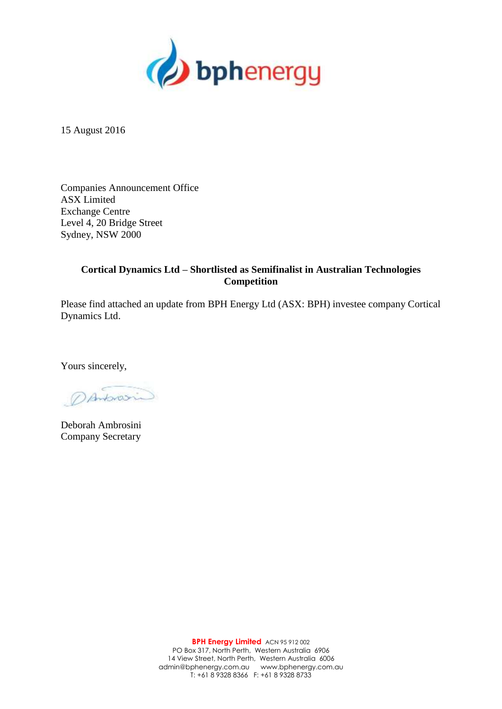

15 August 2016

Companies Announcement Office ASX Limited Exchange Centre Level 4, 20 Bridge Street Sydney, NSW 2000

### **Cortical Dynamics Ltd – Shortlisted as Semifinalist in Australian Technologies Competition**

Please find attached an update from BPH Energy Ltd (ASX: BPH) investee company Cortical Dynamics Ltd.

Yours sincerely,

DAMONOSIN

Deborah Ambrosini Company Secretary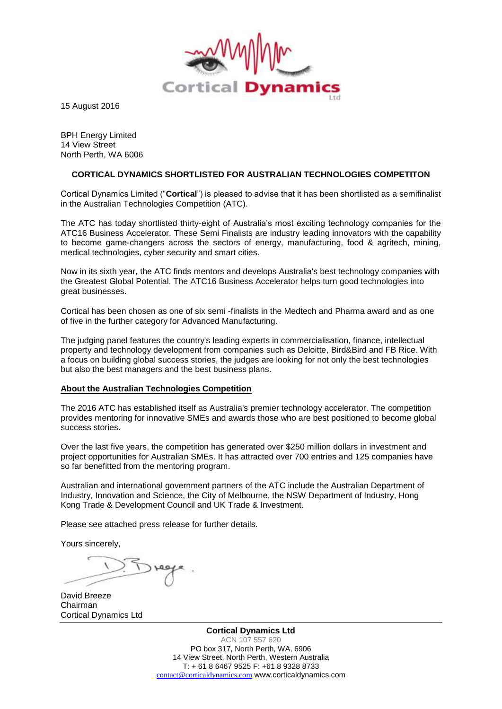

15 August 2016

BPH Energy Limited 14 View Street North Perth, WA 6006

#### **CORTICAL DYNAMICS SHORTLISTED FOR AUSTRALIAN TECHNOLOGIES COMPETITON**

Cortical Dynamics Limited ("**Cortical**") is pleased to advise that it has been shortlisted as a semifinalist in the Australian Technologies Competition (ATC).

The ATC has today shortlisted thirty-eight of Australia's most exciting technology companies for the ATC16 Business Accelerator. These Semi Finalists are industry leading innovators with the capability to become game-changers across the sectors of energy, manufacturing, food & agritech, mining, medical technologies, cyber security and smart cities.

Now in its sixth year, the ATC finds mentors and develops Australia's best technology companies with the Greatest Global Potential. The ATC16 Business Accelerator helps turn good technologies into great businesses.

Cortical has been chosen as one of six semi -finalists in the Medtech and Pharma award and as one of five in the further category for Advanced Manufacturing.

The judging panel features the country's leading experts in commercialisation, finance, intellectual property and technology development from companies such as Deloitte, Bird&Bird and FB Rice. With a focus on building global success stories, the judges are looking for not only the best technologies but also the best managers and the best business plans.

#### **About the Australian Technologies Competition**

The 2016 ATC has established itself as Australia's premier technology accelerator. The competition provides mentoring for innovative SMEs and awards those who are best positioned to become global success stories.

Over the last five years, the competition has generated over \$250 million dollars in investment and project opportunities for Australian SMEs. It has attracted over 700 entries and 125 companies have so far benefitted from the mentoring program.

Australian and international government partners of the ATC include the Australian Department of Industry, Innovation and Science, the City of Melbourne, the NSW Department of Industry, Hong Kong Trade & Development Council and UK Trade & Investment.

Please see attached press release for further details.

Yours sincerely,

David Breeze Chairman Cortical Dynamics Ltd

**Cortical Dynamics Ltd** ACN 107 557 620 PO box 317, North Perth, WA, 6906 14 View Street, North Perth, Western Australia T: + 61 8 6467 9525 F: +61 8 9328 8733 [contact@corticaldynamics.com](mailto:contact@corticaldynamics.com) www.corticaldynamics.com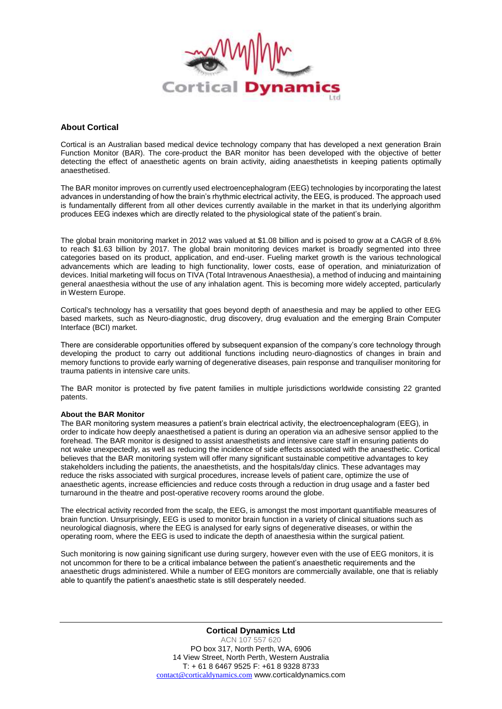

#### **About Cortical**

Cortical is an Australian based medical device technology company that has developed a next generation Brain Function Monitor (BAR). The core-product the BAR monitor has been developed with the objective of better detecting the effect of anaesthetic agents on brain activity, aiding anaesthetists in keeping patients optimally anaesthetised.

The BAR monitor improves on currently used electroencephalogram (EEG) technologies by incorporating the latest advances in understanding of how the brain's rhythmic electrical activity, the EEG, is produced. The approach used is fundamentally different from all other devices currently available in the market in that its underlying algorithm produces EEG indexes which are directly related to the physiological state of the patient's brain.

The global brain monitoring market in 2012 was valued at \$1.08 billion and is poised to grow at a CAGR of 8.6% to reach \$1.63 billion by 2017. The global brain monitoring devices market is broadly segmented into three categories based on its product, application, and end-user. Fueling market growth is the various technological advancements which are leading to high functionality, lower costs, ease of operation, and miniaturization of devices. Initial marketing will focus on TIVA (Total Intravenous Anaesthesia), a method of inducing and maintaining general anaesthesia without the use of any inhalation agent. This is becoming more widely accepted, particularly in Western Europe.

Cortical's technology has a versatility that goes beyond depth of anaesthesia and may be applied to other EEG based markets, such as Neuro-diagnostic, drug discovery, drug evaluation and the emerging Brain Computer Interface (BCI) market.

There are considerable opportunities offered by subsequent expansion of the company's core technology through developing the product to carry out additional functions including neuro-diagnostics of changes in brain and memory functions to provide early warning of degenerative diseases, pain response and tranquiliser monitoring for trauma patients in intensive care units.

The BAR monitor is protected by five patent families in multiple jurisdictions worldwide consisting 22 granted patents.

#### **About the BAR Monitor**

The BAR monitoring system measures a patient's brain electrical activity, the electroencephalogram (EEG), in order to indicate how deeply anaesthetised a patient is during an operation via an adhesive sensor applied to the forehead. The BAR monitor is designed to assist anaesthetists and intensive care staff in ensuring patients do not wake unexpectedly, as well as reducing the incidence of side effects associated with the anaesthetic. Cortical believes that the BAR monitoring system will offer many significant sustainable competitive advantages to key stakeholders including the patients, the anaesthetists, and the hospitals/day clinics. These advantages may reduce the risks associated with surgical procedures, increase levels of patient care, optimize the use of anaesthetic agents, increase efficiencies and reduce costs through a reduction in drug usage and a faster bed turnaround in the theatre and post-operative recovery rooms around the globe.

The electrical activity recorded from the scalp, the EEG, is amongst the most important quantifiable measures of brain function. Unsurprisingly, EEG is used to monitor brain function in a variety of clinical situations such as neurological diagnosis, where the EEG is analysed for early signs of degenerative diseases, or within the operating room, where the EEG is used to indicate the depth of anaesthesia within the surgical patient.

Such monitoring is now gaining significant use during surgery, however even with the use of EEG monitors, it is not uncommon for there to be a critical imbalance between the patient's anaesthetic requirements and the anaesthetic drugs administered. While a number of EEG monitors are commercially available, one that is reliably able to quantify the patient's anaesthetic state is still desperately needed.

> **Cortical Dynamics Ltd** ACN 107 557 620 PO box 317, North Perth, WA, 6906 14 View Street, North Perth, Western Australia T: + 61 8 6467 9525 F: +61 8 9328 8733 [contact@corticaldynamics.com](mailto:contact@corticaldynamics.com) www.corticaldynamics.com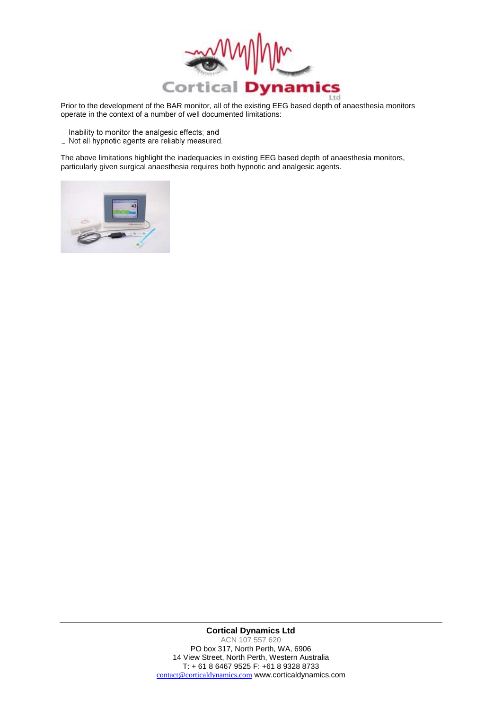

Prior to the development of the BAR monitor, all of the existing EEG based depth of anaesthesia monitors operate in the context of a number of well documented limitations:

- \_ Inability to monitor the analgesic effects; and
- \_ Not all hypnotic agents are reliably measured.

The above limitations highlight the inadequacies in existing EEG based depth of anaesthesia monitors, particularly given surgical anaesthesia requires both hypnotic and analgesic agents.



#### **Cortical Dynamics Ltd** ACN 107 557 620 PO box 317, North Perth, WA, 6906 14 View Street, North Perth, Western Australia T: + 61 8 6467 9525 F: +61 8 9328 8733 [contact@corticaldynamics.com](mailto:contact@corticaldynamics.com) www.corticaldynamics.com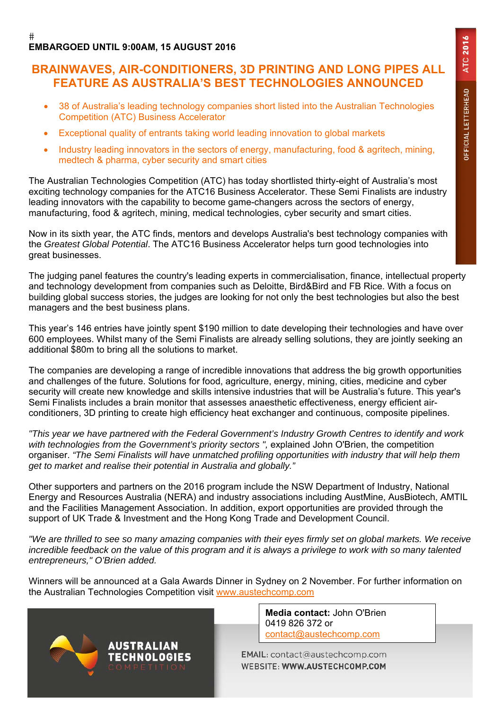#### $#$ **EMBARGOED UNTIL 9:00AM, 15 AUGUST 2016**

## **BRAINWAVES, AIR-CONDITIONERS, 3D PRINTING AND LONG PIPES ALL FEATURE AS AUSTRALIA'S BEST TECHNOLOGIES ANNOUNCED**

- 38 of Australia's leading technology companies short listed into the Australian Technologies Competition (ATC) Business Accelerator
- Exceptional quality of entrants taking world leading innovation to global markets
- Industry leading innovators in the sectors of energy, manufacturing, food & agritech, mining, medtech & pharma, cyber security and smart cities

The Australian Technologies Competition (ATC) has today shortlisted thirty-eight of Australia's most exciting technology companies for the ATC16 Business Accelerator. These Semi Finalists are industry leading innovators with the capability to become game-changers across the sectors of energy, manufacturing, food & agritech, mining, medical technologies, cyber security and smart cities.

Now in its sixth year, the ATC finds, mentors and develops Australia's best technology companies with the *Greatest Global Potential*. The ATC16 Business Accelerator helps turn good technologies into great businesses.

The judging panel features the country's leading experts in commercialisation, finance, intellectual property and technology development from companies such as Deloitte, Bird&Bird and FB Rice. With a focus on building global success stories, the judges are looking for not only the best technologies but also the best managers and the best business plans.

This year's 146 entries have jointly spent \$190 million to date developing their technologies and have over 600 employees. Whilst many of the Semi Finalists are already selling solutions, they are jointly seeking an additional \$80m to bring all the solutions to market.

The companies are developing a range of incredible innovations that address the big growth opportunities and challenges of the future. Solutions for food, agriculture, energy, mining, cities, medicine and cyber security will create new knowledge and skills intensive industries that will be Australia's future. This year's Semi Finalists includes a brain monitor that assesses anaesthetic effectiveness, energy efficient airconditioners, 3D printing to create high efficiency heat exchanger and continuous, composite pipelines.

*"This year we have partnered with the Federal Government's Industry Growth Centres to identify and work*  with technologies from the Government's priority sectors ", explained John O'Brien, the competition organiser. *"The Semi Finalists will have unmatched profiling opportunities with industry that will help them get to market and realise their potential in Australia and globally."* 

Other supporters and partners on the 2016 program include the NSW Department of Industry, National Energy and Resources Australia (NERA) and industry associations including AustMine, AusBiotech, AMTIL and the Facilities Management Association. In addition, export opportunities are provided through the support of UK Trade & Investment and the Hong Kong Trade and Development Council.

*"We are thrilled to see so many amazing companies with their eyes firmly set on global markets. We receive incredible feedback on the value of this program and it is always a privilege to work with so many talented entrepreneurs," O'Brien added.* 

Winners will be announced at a Gala Awards Dinner in Sydney on 2 November. For further information on the Australian Technologies Competition visit www.austechcomp.com



**Media contact:** John O'Brien 0419 826 372 or contact@austechcomp.com

EMAIL: contact@austechcomp.com WEBSITE: WWW.AUSTECHCOMP.COM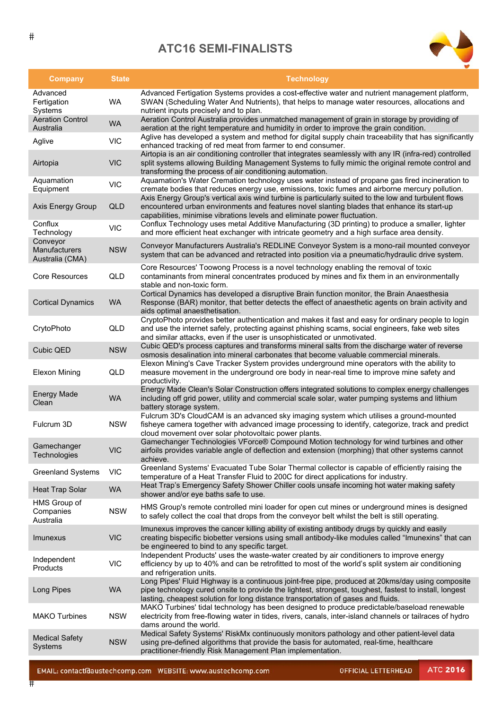# **ATC16 SEMI-FINALISTS**



| <b>Company</b>                               | <b>State</b> | <b>Technology</b>                                                                                                                                                                                                                                                                              |
|----------------------------------------------|--------------|------------------------------------------------------------------------------------------------------------------------------------------------------------------------------------------------------------------------------------------------------------------------------------------------|
| Advanced<br>Fertigation<br>Systems           | <b>WA</b>    | Advanced Fertigation Systems provides a cost-effective water and nutrient management platform,<br>SWAN (Scheduling Water And Nutrients), that helps to manage water resources, allocations and<br>nutrient inputs precisely and to plan.                                                       |
| <b>Aeration Control</b><br>Australia         | <b>WA</b>    | Aeration Control Australia provides unmatched management of grain in storage by providing of<br>aeration at the right temperature and humidity in order to improve the grain condition.                                                                                                        |
| Aglive                                       | <b>VIC</b>   | Aglive has developed a system and method for digital supply chain traceability that has significantly<br>enhanced tracking of red meat from farmer to end consumer.                                                                                                                            |
| Airtopia                                     | <b>VIC</b>   | Airtopia is an air conditioning controller that integrates seamlessly with any IR (infra-red) controlled<br>split systems allowing Building Management Systems to fully mimic the original remote control and<br>transforming the process of air conditioning automation.                      |
| Aquamation<br>Equipment                      | <b>VIC</b>   | Aquamation's Water Cremation technology uses water instead of propane gas fired incineration to<br>cremate bodies that reduces energy use, emissions, toxic fumes and airborne mercury pollution.                                                                                              |
| Axis Energy Group                            | <b>QLD</b>   | Axis Energy Group's vertical axis wind turbine is particularly suited to the low and turbulent flows<br>encountered urban environments and features novel slanting blades that enhance its start-up<br>capabilities, minimise vibrations levels and eliminate power fluctuation.               |
| Conflux<br>Technology                        | <b>VIC</b>   | Conflux Technology uses metal Additive Manufacturing (3D printing) to produce a smaller, lighter<br>and more efficient heat exchanger with intricate geometry and a high surface area density.                                                                                                 |
| Conveyor<br>Manufacturers<br>Australia (CMA) | <b>NSW</b>   | Conveyor Manufacturers Australia's REDLINE Conveyor System is a mono-rail mounted conveyor<br>system that can be advanced and retracted into position via a pneumatic/hydraulic drive system.                                                                                                  |
| Core Resources                               | QLD          | Core Resources' Toowong Process is a novel technology enabling the removal of toxic<br>contaminants from mineral concentrates produced by mines and fix them in an environmentally<br>stable and non-toxic form.                                                                               |
| <b>Cortical Dynamics</b>                     | <b>WA</b>    | Cortical Dynamics has developed a disruptive Brain function monitor, the Brain Anaesthesia<br>Response (BAR) monitor, that better detects the effect of anaesthetic agents on brain activity and<br>aids optimal anaesthetisation.                                                             |
| CrytoPhoto                                   | QLD          | CryptoPhoto provides better authentication and makes it fast and easy for ordinary people to login<br>and use the internet safely, protecting against phishing scams, social engineers, fake web sites<br>and similar attacks, even if the user is unsophisticated or unmotivated.             |
| <b>Cubic QED</b>                             | <b>NSW</b>   | Cubic QED's process captures and transforms mineral salts from the discharge water of reverse<br>osmosis desalination into mineral carbonates that become valuable commercial minerals.                                                                                                        |
| <b>Elexon Mining</b>                         | QLD          | Elexon Mining's Cave Tracker System provides underground mine operators with the ability to<br>measure movement in the underground ore body in near-real time to improve mine safety and<br>productivity.                                                                                      |
| <b>Energy Made</b><br>Clean                  | <b>WA</b>    | Energy Made Clean's Solar Construction offers integrated solutions to complex energy challenges<br>including off grid power, utility and commercial scale solar, water pumping systems and lithium<br>battery storage system.                                                                  |
| Fulcrum 3D                                   | <b>NSW</b>   | Fulcrum 3D's CloudCAM is an advanced sky imaging system which utilises a ground-mounted<br>fisheye camera together with advanced image processing to identify, categorize, track and predict<br>cloud movement over solar photovoltaic power plants.                                           |
| Gamechanger<br>Technologies                  | <b>VIC</b>   | Gamechanger Technologies VForce® Compound Motion technology for wind turbines and other<br>airfoils provides variable angle of deflection and extension (morphing) that other systems cannot<br>achieve.                                                                                       |
| <b>Greenland Systems</b>                     | <b>VIC</b>   | Greenland Systems' Evacuated Tube Solar Thermal collector is capable of efficiently raising the<br>temperature of a Heat Transfer Fluid to 200C for direct applications for industry.                                                                                                          |
| <b>Heat Trap Solar</b>                       | <b>WA</b>    | Heat Trap's Emergency Safety Shower Chiller cools unsafe incoming hot water making safety<br>shower and/or eye baths safe to use.                                                                                                                                                              |
| HMS Group of<br>Companies<br>Australia       | <b>NSW</b>   | HMS Group's remote controlled mini loader for open cut mines or underground mines is designed<br>to safely collect the coal that drops from the conveyor belt whilst the belt is still operating.                                                                                              |
| Imunexus                                     | <b>VIC</b>   | Imunexus improves the cancer killing ability of existing antibody drugs by quickly and easily<br>creating bispecific biobetter versions using small antibody-like modules called "Imunexins" that can<br>be engineered to bind to any specific target.                                         |
| Independent<br>Products                      | <b>VIC</b>   | Independent Products' uses the waste-water created by air conditioners to improve energy<br>efficiency by up to 40% and can be retrofitted to most of the world's split system air conditioning<br>and refrigeration units.                                                                    |
| Long Pipes                                   | <b>WA</b>    | Long Pipes' Fluid Highway is a continuous joint-free pipe, produced at 20kms/day using composite<br>pipe technology cured onsite to provide the lightest, strongest, toughest, fastest to install, longest<br>lasting, cheapest solution for long distance transportation of gases and fluids. |
| <b>MAKO Turbines</b>                         | <b>NSW</b>   | MAKO Turbines' tidal technology has been designed to produce predictable/baseload renewable<br>electricity from free-flowing water in tides, rivers, canals, inter-island channels or tailraces of hydro<br>dams around the world.                                                             |
| <b>Medical Safety</b><br>Systems             | <b>NSW</b>   | Medical Safety Systems' RiskMx continuously monitors pathology and other patient-level data<br>using pre-defined algorithms that provide the basis for automated, real-time, healthcare<br>practitioner-friendly Risk Management Plan implementation.                                          |

 $#$